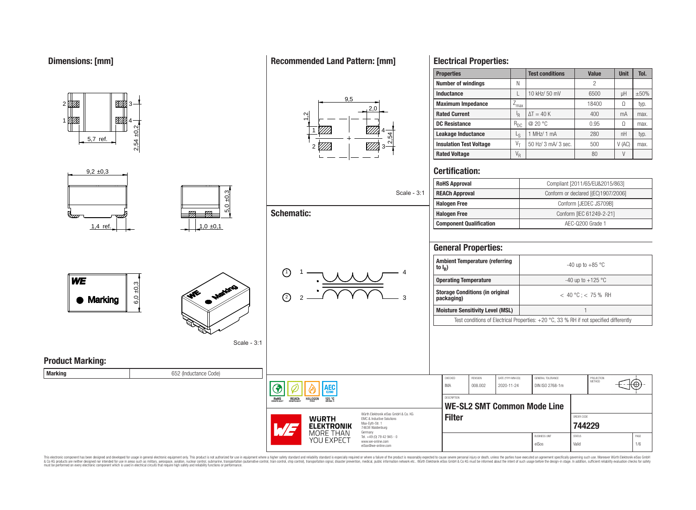1

01 TX

#### **Properties Test conditions Value Unit Tol. Number of windings** N N 2 **Inductance** L 10 kHz/ 50 mV c 6500 pH  $\pm$ 50%  $9<sub>5</sub>$ <u>87%</u> **Maximum Impedance**  $\boxed{Z_{\text{max}}}$  18400  $\boxed{\Omega}$  typ.  $2<sub>0</sub>$ **Rated Current** I<sub>R</sub>  $\Delta T = 40 \text{ K}$   $\vert$  400  $\vert$  mA  $\vert$  max.  $\frac{1}{2}$ ▨ 4 **DC Resistance**  $R_{DC}$  **a** 20 °C 0.95  $\Omega$  max. 2,54 ±0,2 1 4 **Leakage Inductance**  $\qquad \qquad \vert \qquad \vert_{S}$ 2,54 5,7 ref. 2 *V//A* 3 **Certification:**  $9.2 \pm 0.3$  $5,0 \pm 0,3$ Scale - 3:1 **Schematic:** 777  $\pi$ 1.4 ref.  $\begin{array}{|c|c|c|c|c|c|}\n\hline\n1.0 & \pm 0.1\n\end{array}$ **General Properties: Ambient Temperature (referring to I<sup>R</sup> )** 1)  $1 - 1$   $1 - 4$ 1 **WE**  $6,0,0.3$ **Alge Storage Conditions (in original** 2 2 3 Marking **Moisture Sensitivity Level (MSL)** 1 Scale - 3:1 **Product Marking: Marking Marking Marking Marking Marking Marking Marking Marking Marking Marking Marking Marking Marking Marking Marking Marking Marking Marking Marking Marking Marking Marking M** CHECKED REVISION DATE (YYYY-MM-DD) GENERAL TOLERANCE PROJECTION<br>METHOD IMA 008.002 2020-11-24 DIN ISO 2768-1m ۱EС **ROHS REACH HALOGEN**  $125 °C$

This electronic component has been designed and developed for usage in general electronic equipment only. This product is not authorized for use in equipment where a higher safely standard and reliability standard si espec & Ook product a label and the membed of the seasuch as marked and as which such a membed and the such assume that income in the seasuch and the simulation and the such assume that include to the such a membed and the such

# **Recommended Land Pattern: [mm]**

# 1 MHz/ 1 mA  $\vert$  280 | nH | typ. **Insulation Test Voltage**  $V_T$  50 Hz/ 3 mA/ 3 sec.  $V(AC)$  max. **Rated Voltage** V<sup>R</sup> 80 V **Rolls Approval** Compliant [2011/65/EU&2015/863]

| <b>ROHS Approval</b>           | Compliant (2011/65/EU&2015/863)     |  |  |  |  |  |
|--------------------------------|-------------------------------------|--|--|--|--|--|
| <b>REACh Approval</b>          | Conform or declared [(EC)1907/2006] |  |  |  |  |  |
| <b>Halogen Free</b>            | Conform [JEDEC JS709B]              |  |  |  |  |  |
| <b>Halogen Free</b>            | Conform [IEC 61249-2-21]            |  |  |  |  |  |
| <b>Component Qualification</b> | AEC-0200 Grade 1                    |  |  |  |  |  |
|                                |                                     |  |  |  |  |  |

| <b>Ambient Temperature (referring</b><br>to $I_{\rm p}$ )                                      | $-40$ up to $+85$ °C    |  |  |  |  |
|------------------------------------------------------------------------------------------------|-------------------------|--|--|--|--|
| <b>Operating Temperature</b>                                                                   | -40 up to $+125$ °C     |  |  |  |  |
| <b>Storage Conditions (in original</b><br>packaging)                                           | $<$ 40 °C : $<$ 75 % RH |  |  |  |  |
| <b>Moisture Sensitivity Level (MSL)</b>                                                        |                         |  |  |  |  |
| Test conditions of Electrical Properties: $+20\degree$ C, 33 % RH if not specified differently |                         |  |  |  |  |

**[744229](https://www.we-online.com/catalog/en/article/744229)**

⊛



Würth Elektronik eiSos GmbH & Co. KG EMC & Inductive Solutions Max-Eyth-Str. 1 74638 Waldenburg Germany Tel. +49 (0) 79 42 945 - 0 www.we-online.com eiSos@we-online.com

**DESCRIPTION WE-SL2 SMT Common Mode Line Filter** ORDER CODE BUSINESS UNIT STATUS STATUS eiSos Valid 1/6

**Electrical Properties:**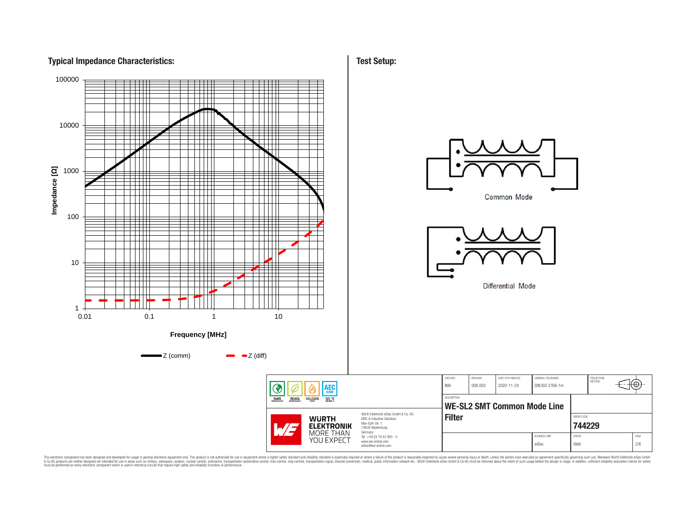# **Typical Impedance Characteristics:**



This electronic component has been designed and developed for usage in general electronic equipment only. This product is not authorized for subserved requipment where a higher selection equipment where a higher selection

**Test Setup:**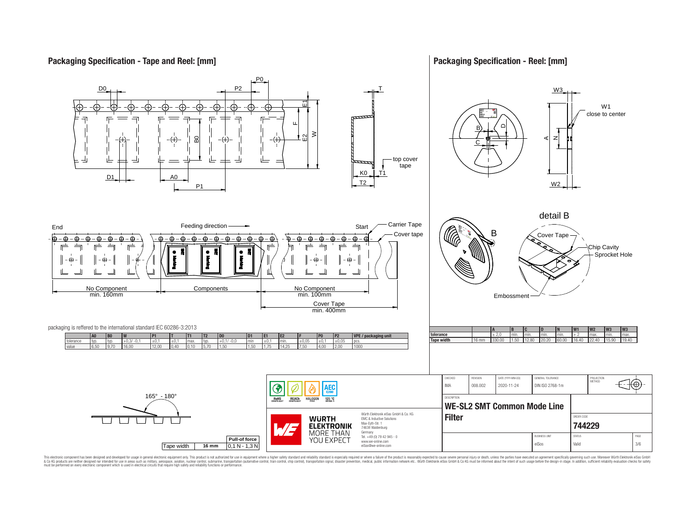# **Packaging Specification - Tape and Reel: [mm]**

# **Packaging Specification - Reel: [mm]**



This electronic component has been designed and developed for usage in general electronic equipment only. This product is not authorized for subserved requipment where a higher selection equipment where a higher selection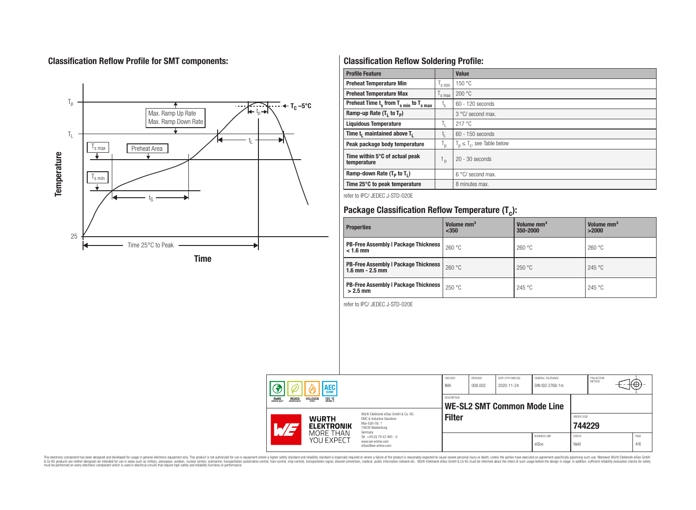# **Classification Reflow Profile for SMT components:**



# **Classification Reflow Soldering Profile:**

| <b>Profile Feature</b>                              |                    | Value                            |
|-----------------------------------------------------|--------------------|----------------------------------|
| <b>Preheat Temperature Min</b>                      | s min              | 150 °C                           |
| <b>Preheat Temperature Max</b>                      | <sup>I</sup> s max | 200 °C                           |
| Preheat Time $t_s$ from $T_{s min}$ to $T_{s max}$  | $t_{\rm s}$        | $60 - 120$ seconds               |
| Ramp-up Rate $(T_1$ to $T_p$ )                      |                    | 3 °C/ second max.                |
| <b>Liquidous Temperature</b>                        | T <sub>L</sub>     | 217°C                            |
| Time t <sub>1</sub> maintained above T <sub>1</sub> | t,                 | 60 - 150 seconds                 |
| Peak package body temperature                       | ' p                | $T_p \leq T_c$ , see Table below |
| Time within 5°C of actual peak<br>temperature       | t <sub>p</sub>     | $20 - 30$ seconds                |
| Ramp-down Rate $(T_p$ to $T_1$ )                    |                    | $6^{\circ}$ C/ second max.       |
| Time 25°C to peak temperature                       |                    | 8 minutes max.                   |

refer to IPC/ JEDEC J-STD-020E

# **Package Classification Reflow Temperature (T<sup>c</sup> ):**

| <b>Properties</b>                                                    | Volume mm <sup>3</sup><br>$350$ | Volume mm <sup>3</sup><br>350-2000 | Volume mm <sup>3</sup><br>>2000 |
|----------------------------------------------------------------------|---------------------------------|------------------------------------|---------------------------------|
| <b>PB-Free Assembly   Package Thickness  </b><br>$< 1.6$ mm          | 260 °C                          | 260 °C                             | 260 °C                          |
| <b>PB-Free Assembly   Package Thickness  </b><br>$1.6$ mm $- 2.5$ mm | 260 °C                          | 250 °C                             | 245 °C                          |
| <b>PB-Free Assembly   Package Thickness  </b><br>$>2.5$ mm           | 250 °C                          | 245 °C                             | 245 °C                          |

refer to IPC/ JEDEC J-STD-020E

| <b>AEC</b> |                                                                                              | CHECKED<br>IMA                                                                                                                                           | REVISION<br>008.002                                                    | DATE (YYYY-MM-DD)<br>2020-11-24 | GENERAL TOLERANCE<br>DIN ISO 2768-1m |  | PROJECTION<br>METHOD          | ťΦ                     |  |             |
|------------|----------------------------------------------------------------------------------------------|----------------------------------------------------------------------------------------------------------------------------------------------------------|------------------------------------------------------------------------|---------------------------------|--------------------------------------|--|-------------------------------|------------------------|--|-------------|
|            | <b>REACH</b><br>COMPLIANT<br><b>ROHS</b><br>COMPLIANT<br><b>HALOGEN</b><br>125 °C<br>GRADE 1 |                                                                                                                                                          | <b>DESCRIPTION</b><br><b>WE-SL2 SMT Common Mode Line</b>               |                                 |                                      |  |                               |                        |  |             |
|            |                                                                                              | Würth Flektronik eiSos GmbH & Co. KG<br><b>WURTH</b><br>EMC & Inductive Solutions<br>Max-Eyth-Str. 1<br><b>ELEKTRONIK</b><br>74638 Waldenburg<br>Germany |                                                                        | <b>Filter</b>                   |                                      |  |                               | ORDER CODE<br>744229   |  |             |
|            |                                                                                              | MORE THAN<br>YOU EXPECT                                                                                                                                  | Tel. +49 (0) 79 42 945 - 0<br>www.we-online.com<br>eiSos@we-online.com |                                 |                                      |  | <b>BUSINESS UNIT</b><br>eiSos | <b>STATUS</b><br>Valid |  | PAGE<br>4/6 |

This electronic component has been designed and developed for usage in general electronic equipment only. This product is not authorized for subserved requipment where a higher selection equipment where a higher selection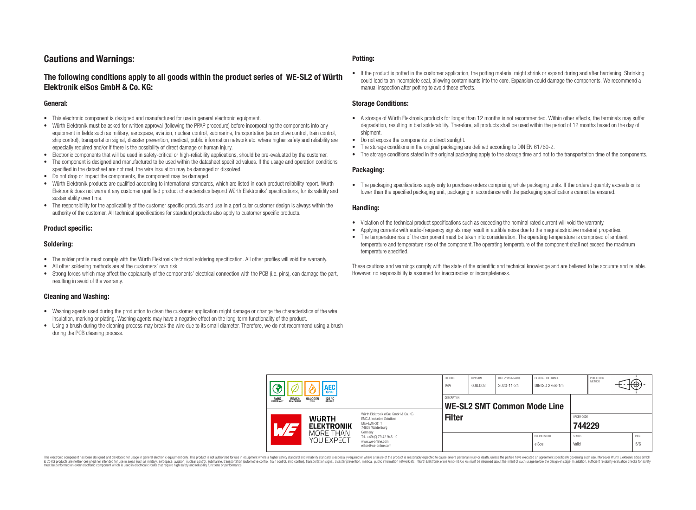# **Cautions and Warnings:**

# **The following conditions apply to all goods within the product series of WE-SL2 of Würth Elektronik eiSos GmbH & Co. KG:**

#### **General:**

- This electronic component is designed and manufactured for use in general electronic equipment.
- Würth Elektronik must be asked for written approval (following the PPAP procedure) before incorporating the components into any equipment in fields such as military, aerospace, aviation, nuclear control, submarine, transportation (automotive control, train control, ship control), transportation signal, disaster prevention, medical, public information network etc. where higher safety and reliability are especially required and/or if there is the possibility of direct damage or human injury.
- Electronic components that will be used in safety-critical or high-reliability applications, should be pre-evaluated by the customer.
- The component is designed and manufactured to be used within the datasheet specified values. If the usage and operation conditions specified in the datasheet are not met, the wire insulation may be damaged or dissolved.
- Do not drop or impact the components, the component may be damaged.
- Würth Elektronik products are qualified according to international standards, which are listed in each product reliability report. Würth Elektronik does not warrant any customer qualified product characteristics beyond Würth Elektroniks' specifications, for its validity and sustainability over time.
- The responsibility for the applicability of the customer specific products and use in a particular customer design is always within the authority of the customer. All technical specifications for standard products also apply to customer specific products.

#### **Product specific:**

#### **Soldering:**

- The solder profile must comply with the Würth Elektronik technical soldering specification. All other profiles will void the warranty.
- All other soldering methods are at the customers' own risk.
- Strong forces which may affect the coplanarity of the components' electrical connection with the PCB (i.e. pins), can damage the part, resulting in avoid of the warranty.

#### **Cleaning and Washing:**

- Washing agents used during the production to clean the customer application might damage or change the characteristics of the wire insulation, marking or plating. Washing agents may have a negative effect on the long-term functionality of the product.
- Using a brush during the cleaning process may break the wire due to its small diameter. Therefore, we do not recommend using a brush during the PCB cleaning process.

#### **Potting:**

• If the product is potted in the customer application, the potting material might shrink or expand during and after hardening. Shrinking could lead to an incomplete seal, allowing contaminants into the core. Expansion could damage the components. We recommend a manual inspection after potting to avoid these effects.

#### **Storage Conditions:**

- A storage of Würth Elektronik products for longer than 12 months is not recommended. Within other effects, the terminals may suffer degradation, resulting in bad solderability. Therefore, all products shall be used within the period of 12 months based on the day of shipment.
- Do not expose the components to direct sunlight.
- The storage conditions in the original packaging are defined according to DIN EN 61760-2.
- The storage conditions stated in the original packaging apply to the storage time and not to the transportation time of the components.

#### **Packaging:**

• The packaging specifications apply only to purchase orders comprising whole packaging units. If the ordered quantity exceeds or is lower than the specified packaging unit, packaging in accordance with the packaging specifications cannot be ensured.

#### **Handling:**

- Violation of the technical product specifications such as exceeding the nominal rated current will void the warranty.
- Applying currents with audio-frequency signals may result in audible noise due to the magnetostrictive material properties.
- The temperature rise of the component must be taken into consideration. The operating temperature is comprised of ambient temperature and temperature rise of the component.The operating temperature of the component shall not exceed the maximum temperature specified.

These cautions and warnings comply with the state of the scientific and technical knowledge and are believed to be accurate and reliable. However, no responsibility is assumed for inaccuracies or incompleteness.

| <b>AEC</b><br>0200 |                                                                                                                                      | CHECKED<br>IMA                                 | REVISION<br>008.002                                                         | DATE (YYYY-MM-DD)<br>2020-11-24 | GENERAL TOLERANCE<br>DIN ISO 2768-1m |  | PROJECTION<br><b>METHOD</b>   | $+\oplus$              |  |  |             |
|--------------------|--------------------------------------------------------------------------------------------------------------------------------------|------------------------------------------------|-----------------------------------------------------------------------------|---------------------------------|--------------------------------------|--|-------------------------------|------------------------|--|--|-------------|
|                    | <b>ROHS</b><br>COMPLIANT<br><b>REACH</b><br>COMPLIANT<br><b>HALOGEN</b><br>125 °C<br>GRADE 1<br>Würth Elektronik eiSos GmbH & Co. KG |                                                | <b>DESCRIPTION</b><br>WE-SL2 SMT Common Mode Line                           |                                 |                                      |  |                               |                        |  |  |             |
|                    |                                                                                                                                      | <b>WURTH</b><br><b>ELEKTRONIK</b><br>MORE THAN | EMC & Inductive Solutions<br>Max-Eyth-Str. 1<br>74638 Waldenburg<br>Germany | <b>Filter</b>                   |                                      |  |                               | ORDER CODE<br>744229   |  |  |             |
|                    |                                                                                                                                      | YOU EXPECT                                     | Tel. +49 (0) 79 42 945 - 0<br>www.we-online.com<br>eiSos@we-online.com      |                                 |                                      |  | <b>BUSINESS UNIT</b><br>eiSos | <b>STATUS</b><br>Valid |  |  | PAGE<br>5/6 |

This electronic component has been designed and developed for usage in general electronic equipment only. This product is not authorized for use in equipment where a higher safety standard and reliability standard si espec & Ook product a label and the membed of the seasuch as marked and as which such a membed and the such assume that income in the seasuch and the simulation and the such assume that include to the such a membed and the such